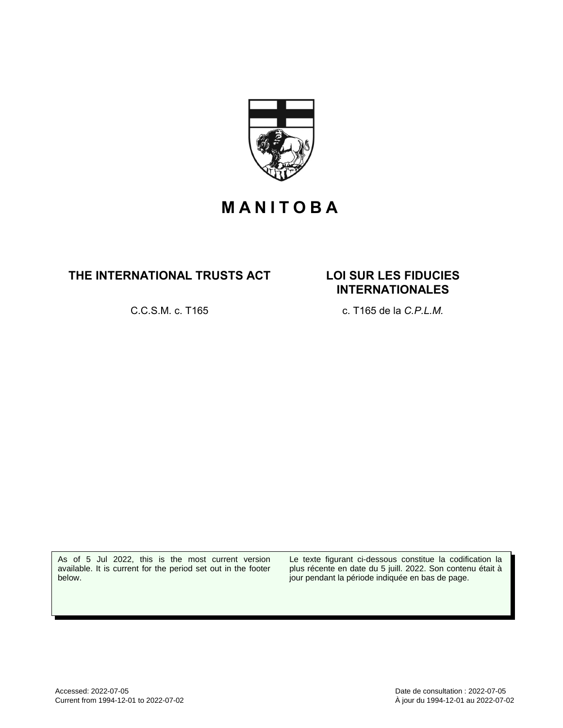

## **M A N I T O B A**

### **THE INTERNATIONAL TRUSTS ACT LOI SUR LES FIDUCIES**

# **INTERNATIONALES**

C.C.S.M. c. T165 c. T165 de la *C.P.L.M.*

As of 5 Jul 2022, this is the most current version available. It is current for the period set out in the footer below.

Le texte figurant ci-dessous constitue la codification la plus récente en date du 5 juill. 2022. Son contenu était à jour pendant la période indiquée en bas de page.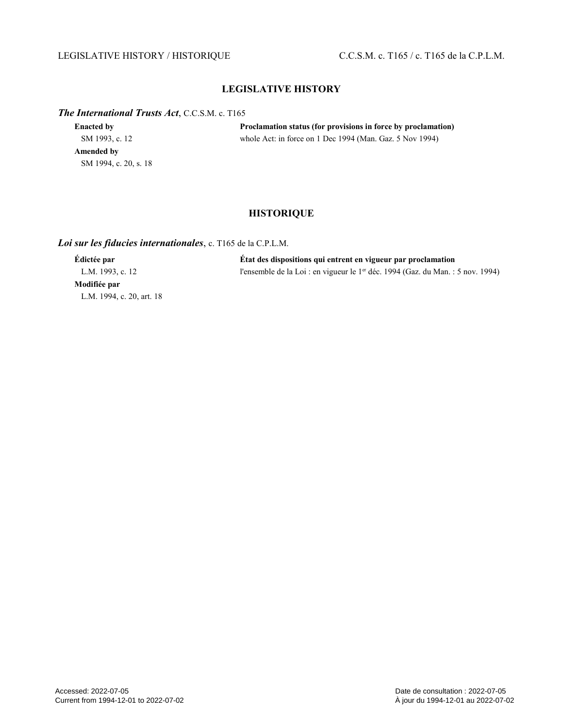#### LEGISLATIVE HISTORY / HISTORIQUE C.C.S.M. c. T165 / c. T165 de la C.P.L.M.

#### **LEGISLATIVE HISTORY**

#### *The International Trusts Act*, C.C.S.M. c. T165

| <b>Enacted by</b>     | Proclamation status (for provisions in force by proclamation) |
|-----------------------|---------------------------------------------------------------|
| SM 1993, c. 12        | whole Act: in force on 1 Dec 1994 (Man. Gaz. 5 Nov 1994)      |
| Amended by            |                                                               |
| SM 1994, c. 20, s. 18 |                                                               |

#### **HISTORIQUE**

#### *Loi sur les fiducies internationales*, c. T165 de la C.P.L.M.

**Modifiée par** L.M. 1994, c. 20, art. 18

**Édictée par État des dispositions qui entrent en vigueur par proclamation** L.M. 1993, c. 12 l'ensemble de la Loi : en vigueur le 1<sup>er</sup> déc. 1994 (Gaz. du Man. : 5 nov. 1994)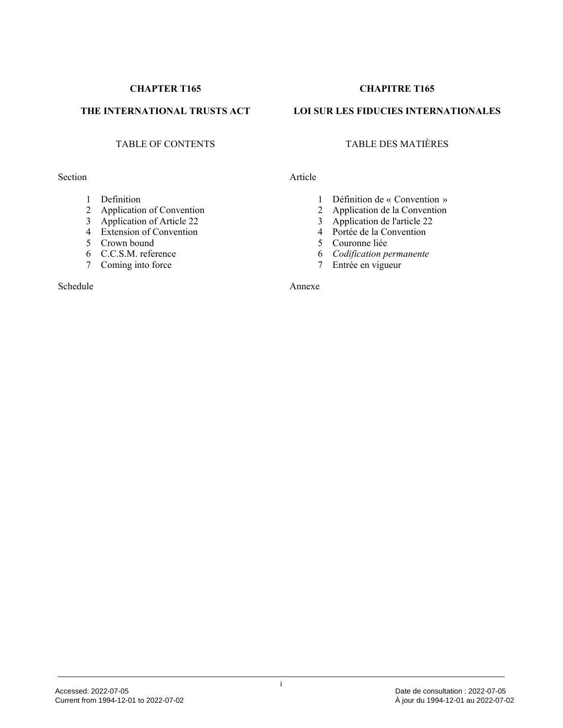#### Section Article

- 1 Definition
- 2 Application of Convention
- 3 Application of Article 22
- 4 Extension of Convention
- 5 Crown bound
- 6 C.C.S.M. reference
- 7 Coming into force

Schedule

#### **CHAPTER T165 CHAPITRE T165**

#### **THE INTERNATIONAL TRUSTS ACT LOI SUR LES FIDUCIES INTERNATIONALES**

#### TABLE OF CONTENTS TABLE DES MATIÈRES

- 1 Définition de « Convention »<br>2 Application de la Convention
- Application de la Convention
- 3 Application de l'article 22
- 4 Portée de la Convention
- 5 Couronne liée
- 6 *Codification permanente*
- 7 Entrée en vigueur

Annexe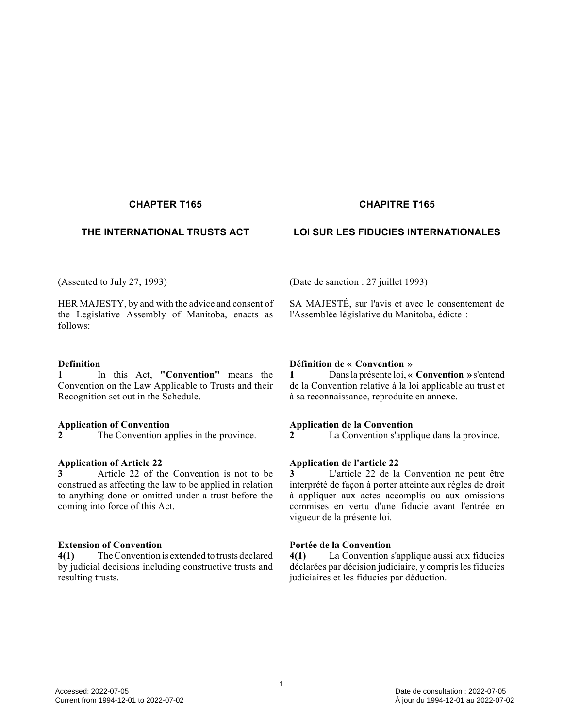#### **CHAPTER T165 CHAPITRE T165**

#### **THE INTERNATIONAL TRUSTS ACT LOI SUR LES FIDUCIES INTERNATIONALES**

(Assented to July 27, 1993)

HER MAJESTY, by and with the advice and consent of the Legislative Assembly of Manitoba, enacts as follows:

#### **Definition**

**1** In this Act, **"Convention"** means the Convention on the Law Applicable to Trusts and their Recognition set out in the Schedule.

#### **Application of Convention**

**2** The Convention applies in the province.

#### **Application of Article 22**

**3** Article 22 of the Convention is not to be construed as affecting the law to be applied in relation to anything done or omitted under a trust before th e coming into force of this Act.

#### **Extension of Convention**

**4(1)** The Convention is extended to trusts declared by judicial decisions including constructive trusts and resulting trusts.

(Date de sanction : 27 juillet 1993)

SA MAJESTÉ, sur l'avis et avec le consentement de l'Assemblée législative du Manitoba, édicte :

#### **Définition de « Convention »**

**1** Dans la présente loi, **« Convention »** s'entend de la Convention relative à la loi applicable au trust et à sa reconnaissance, reproduite en annexe.

#### **Application de la Convention**

**2** La Convention s'applique dans la province.

#### **Application de l'article 22**

**3** L'article 22 de la Convention ne peut être interprété de façon à porter atteinte aux règles de droit à appliquer aux actes accomplis ou aux omissions commises en vertu d'une fiducie avant l'entrée en vigueur de la présente loi.

#### **Portée de la Convention**

**4(1)** La Convention s'applique aussi aux fiducies déclarées par décision judiciaire, y compris les fiducies judiciaires et les fiducies par déduction.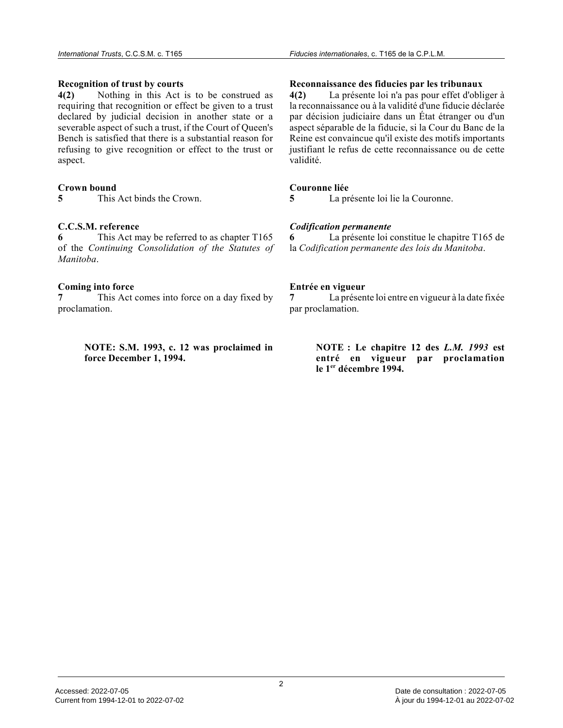#### **Recognition of trust by courts**

**4(2)** Nothing in this Act is to be construed as requiring that recognition or effect be given to a trust declared by judicial decision in another state or a severable aspect of such a trust, if the Court of Queen's Bench is satisfied that there is a substantial reason for refusing to give recognition or effect to the trust or aspect.

#### **Crown bound**

**5** This Act binds the Crown.

#### **C.C.S.M. reference**

**6** This Act may be referred to as chapter T165 of the *Continuing Consolidation of the Statutes of Manitoba* .

#### **Coming into force**

**7** This Act comes into force on a day fixed by proclamation.

> **NOTE: S.M. 1993, c. 12 was proclaimed in force December 1, 1994.**

#### **Reconnaissance des fiducies par les tribunaux**

**4(2)** La présente loi n'a pas pour effet d'obliger à la reconnaissance ou à la validité d'une fiducie déclarée par décision judiciaire dans un État étranger ou d'un aspect séparable de la fiducie, si la Cour du Banc de la Reine est convaincue qu'il existe des motifs importants justifiant le refus de cette reconnaissance ou de cette validité.

#### **Couronne liée**

**5** La présente loi lie la Couronne.

#### *Codification permanente*

**6** La présente loi constitue le chapitre T165 de la *Codification permanente des lois du Manitoba* .

#### **Entrée en vigueur**

**7** La présente loi entre en vigueur à la date fixée par proclamation.

> **NOTE : Le chapitre 12 des** *L.M. 1993* **est entré en vigueur par proclamation le 1er décembre 1994.**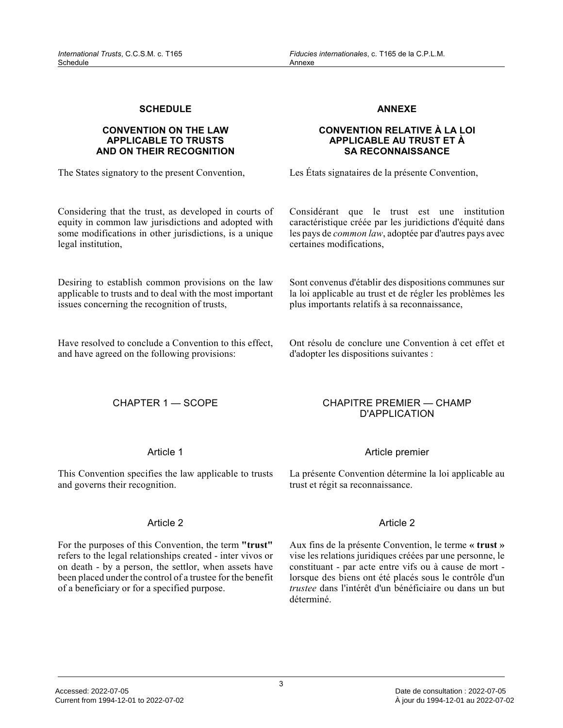#### **SCHEDULE**

#### **CONVENTION ON THE LAW APPLICABLE TO TRUSTS AND ON THEIR RECOGNITION**

The States signatory to the present Convention,

#### Considering that the trust, as developed in courts of equity in common law jurisdictions and adopted with some modifications in other jurisdictions, is a unique legal institution,

Desiring to establish common provisions on the law applicable to trusts and to deal with the most important issues concerning the recognition of trusts,

Have resolved to conclude a Convention to this effect, and have agreed on the following provisions:

#### **ANNEXE**

#### **CONVENTION RELATIVE À LA LOI APPLICABLE AU TRUST ET À SA RECONNAISSANCE**

Les États signataires de la présente Convention,

Considérant que le trust est une institution caractéristique créée par les juridictions d'équité dans les pays de *common law*, adoptée par d'autres pays avec certaines modifications,

Sont convenus d'établir des dispositions communes su r la loi applicable au trust et de régler les problèmes les plus importants relatifs à sa reconnaissance,

Ont résolu de conclure une Convention à cet effet et d'adopter les dispositions suivantes :

#### CHAPTER 1 — SCOPE CHAPITRE PREMIER — CHAMP

#### Article 1

This Convention specifies the law applicable to trusts and governs their recognition.

#### Article 2

For the purposes of this Convention, the term **"trust"** refers to the legal relationships created - inter vivos or on death - by a person, the settlor, when assets have been placed under the control of a trustee for the benefit of a beneficiary or for a specified purpose.

#### Article premier

D'APPLICATION

La présente Convention détermine la loi applicable a u trust et régit sa reconnaissance.

#### Article 2

Aux fins de la présente Convention, le terme **« trust »** vise les relations juridiques créées par une personne, le constituant - par acte entre vifs ou à cause de mort lorsque des biens ont été placés sous le contrôle d'un *trustee* dans l'intérêt d'un bénéficiaire ou dans un but déterminé.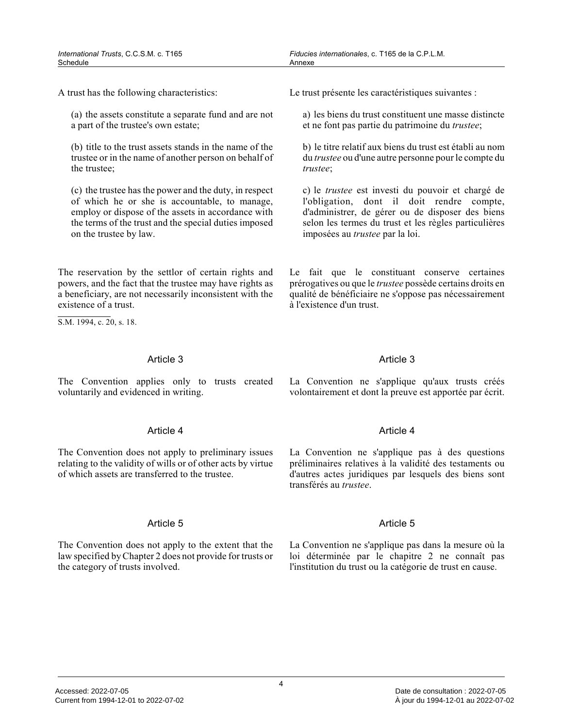A trust has the following characteristics:

(a) the assets constitute a separate fund and are not a part of the trustee's own estate;

(b) title to the trust assets stands in the name of the trustee or in the name of another person on behalf of the trustee;

(c) the trustee has the power and the duty, in respect of which he or she is accountable, to manage, employ or dispose of the assets in accordance with the terms of the trust and the special duties imposed on the trustee by law.

The reservation by the settlor of certain rights an d powers, and the fact that the trustee may have rights as a beneficiary, are not necessarily inconsistent with the existence of a trust.

S.M. 1994, c. 20, s. 18.

#### Article 3

The Convention applies only to trusts created voluntarily and evidenced in writing.

#### Article 4

The Convention does not apply to preliminary issues relating to the validity of wills or of other acts by virtue of which assets are transferred to the trustee.

#### Article 5

The Convention does not apply to the extent that the law specified by Chapter 2 does not provide for trusts or the category of trusts involved.

Le trust présente les caractéristiques suivantes :

a) les biens du trust constituent une masse distinct e et ne font pas partie du patrimoine du *trustee* ;

b) le titre relatif aux biens du trust est établi au nom du *trustee* ou d'une autre personne pour le compte du *trustee* ;

c) le *trustee* est investi du pouvoir et chargé de l'obligation, dont il doit rendre compte, d'administrer, de gérer ou de disposer des biens selon les termes du trust et les règles particulières imposées au *trustee* par la loi.

Le fait que le constituant conserve certaines prérogatives ou que le *trustee* possède certains droits en qualité de bénéficiaire ne s'oppose pas nécessairement à l'existence d'un trust.

#### Article 3

La Convention ne s'applique qu'aux trusts créés volontairement et dont la preuve est apportée par écrit.

#### Article 4

La Convention ne s'applique pas à des questions préliminaires relatives à la validité des testaments ou d'autres actes juridiques par lesquels des biens sont transférés au *trustee* .

#### Article 5

La Convention ne s'applique pas dans la mesure où l a loi déterminée par le chapitre 2 ne connaît pas l'institution du trust ou la catégorie de trust en cause.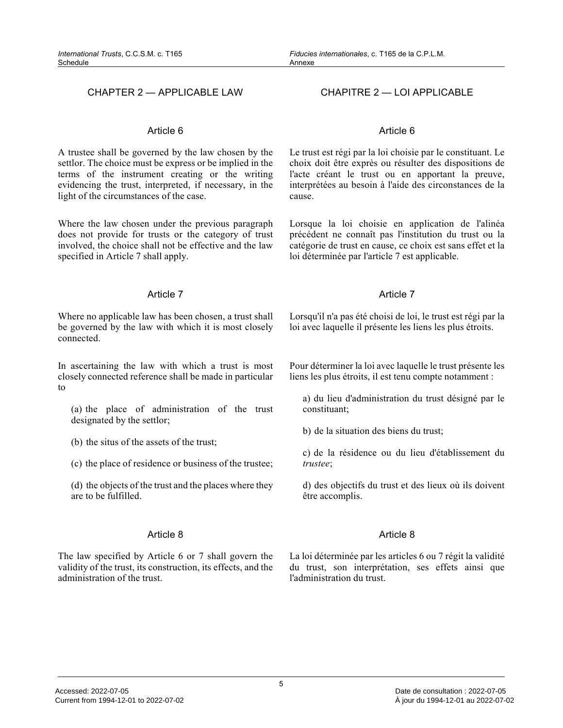#### CHAPTER 2 — APPLICABLE LAW CHAPITRE 2 — LOI APPLICABLE

#### Article 6

A trustee shall be governed by the law chosen by the settlor. The choice must be express or be implied in the terms of the instrument creating or the writing evidencing the trust, interpreted, if necessary, in the light of the circumstances of the case.

Where the law chosen under the previous paragraph does not provide for trusts or the category of trust involved, the choice shall not be effective and the la w specified in Article 7 shall apply.

#### Article 7

Where no applicable law has been chosen, a trust shall be governed by the law with which it is most closely connected.

In ascertaining the law with which a trust is most closely connected reference shall be made in particular to

(a) the place of administration of the trust designated by the settlor;

(b) the situs of the assets of the trust;

(c) the place of residence or business of the trustee;

(d) the objects of the trust and the places where they are to be fulfilled.

#### Article 8

The law specified by Article 6 or 7 shall govern the validity of the trust, its construction, its effects, and the administration of the trust.

#### Article 6

Le trust est régi par la loi choisie par le constituant. Le choix doit être exprès ou résulter des dispositions de l'acte créant le trust ou en apportant la preuve, interprétées au besoin à l'aide des circonstances de la cause.

Lorsque la loi choisie en application de l'alinéa précédent ne connaît pas l'institution du trust ou la catégorie de trust en cause, ce choix est sans effet et l a loi déterminée par l'article 7 est applicable.

#### Article 7

Lorsqu'il n'a pas été choisi de loi, le trust est régi par la loi avec laquelle il présente les liens les plus étroits.

Pour déterminer la loi avec laquelle le trust présente les liens les plus étroits, il est tenu compte notamment :

a) du lieu d'administration du trust désigné par le constituant;

b) de la situation des biens du trust;

c) de la résidence ou du lieu d'établissement du *trustee* ;

d) des objectifs du trust et des lieux où ils doivent être accomplis.

#### Article 8

La loi déterminée par les articles 6 ou 7 régit la validité du trust, son interprétation, ses effets ainsi que l'administration du trust.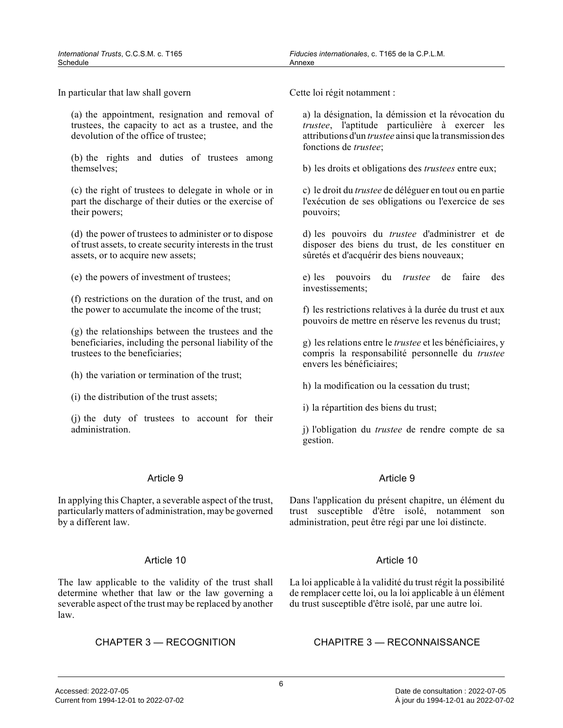In particular that law shall govern

(a) the appointment, resignation and removal of trustees, the capacity to act as a trustee, and the devolution of the office of trustee;

(b) the rights and duties of trustees among themselves;

(c) the right of trustees to delegate in whole or in part the discharge of their duties or the exercise of their powers;

(d) the power of trustees to administer or to dispos e of trust assets, to create security interests in the trust assets, or to acquire new assets;

(e) the powers of investment of trustees;

(f) restrictions on the duration of the trust, and o n the power to accumulate the income of the trust;

(g) the relationships between the trustees and the beneficiaries, including the personal liability of th e trustees to the beneficiaries;

(h) the variation or termination of the trust;

(i) the distribution of the trust assets;

(j) the duty of trustees to account for their administration.

#### Article 9

In applying this Chapter, a severable aspect of the trust, particularly matters of administration, may be governed by a different law.

#### Article 10

The law applicable to the validity of the trust shal l determine whether that law or the law governing a severable aspect of the trust may be replaced by another law.

Cette loi régit notamment :

a) la désignation, la démission et la révocation du *trustee*, l'aptitude particulière à exercer les attributions d'un *trustee* ainsi que la transmission des fonctions de *trustee* ;

b) les droits et obligations des *trustees* entre eux;

c) le droit du *trustee* de déléguer en tout ou en partie l'exécution de ses obligations ou l'exercice de ses pouvoirs;

d) les pouvoirs du *trustee* d'administrer et de disposer des biens du trust, de les constituer en sûretés et d'acquérir des biens nouveaux;

e) les pouvoirs du *trustee* de faire des investissements;

f) les restrictions relatives à la durée du trust et aux pouvoirs de mettre en réserve les revenus du trust;

g) les relations entre le *trustee* et les bénéficiaires, y compris la responsabilité personnelle du *trustee* envers les bénéficiaires;

h) la modification ou la cessation du trust;

i) la répartition des biens du trust;

j) l'obligation du *trustee* de rendre compte de sa gestion.

#### Article 9

Dans l'application du présent chapitre, un élément du trust susceptible d'être isolé, notamment son administration, peut être régi par une loi distincte.

#### Article 10

La loi applicable à la validité du trust régit la possibilité de remplacer cette loi, ou la loi applicable à un élément du trust susceptible d'être isolé, par une autre loi.

CHAPTER 3 — RECOGNITION CHAPITRE 3 — RECONNAISSANCE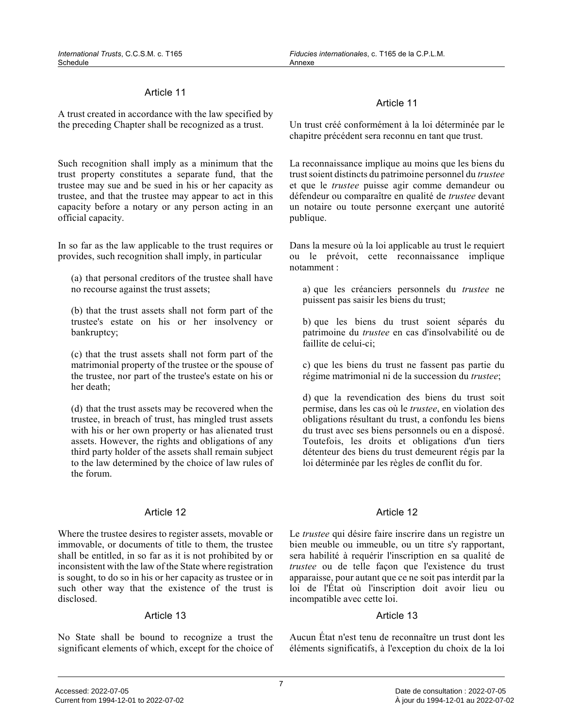#### Article 11

A trust created in accordance with the law specified by the preceding Chapter shall be recognized as a trust.

Such recognition shall imply as a minimum that the trust property constitutes a separate fund, that th e trustee may sue and be sued in his or her capacity as trustee, and that the trustee may appear to act in this capacity before a notary or any person acting in an official capacity.

In so far as the law applicable to the trust requires or provides, such recognition shall imply, in particula r

(a) that personal creditors of the trustee shall have no recourse against the trust assets;

(b) that the trust assets shall not form part of the trustee's estate on his or her insolvency or bankruptcy;

(c) that the trust assets shall not form part of the matrimonial property of the trustee or the spouse o f the trustee, nor part of the trustee's estate on his or her death;

(d) that the trust assets may be recovered when the trustee, in breach of trust, has mingled trust assets with his or her own property or has alienated trust assets. However, the rights and obligations of any third party holder of the assets shall remain subject to the law determined by the choice of law rules of the forum.

#### Article 12

Where the trustee desires to register assets, movable or immovable, or documents of title to them, the truste e shall be entitled, in so far as it is not prohibited by or inconsistent with the law of the State where registration is sought, to do so in his or her capacity as trustee or in such other way that the existence of the trust is disclosed.

#### Article 13

No State shall be bound to recognize a trust the significant elements of which, except for the choice of

#### Article 11

Un trust créé conformément à la loi déterminée par le chapitre précédent sera reconnu en tant que trust.

La reconnaissance implique au moins que les biens du trust soient distincts du patrimoine personnel du *trustee* et que le *trustee* puisse agir comme demandeur ou défendeur ou comparaître en qualité de *trustee* devant un notaire ou toute personne exerçant une autorité publique.

Dans la mesure où la loi applicable au trust le requiert ou le prévoit, cette reconnaissance implique notamment :

a) que les créanciers personnels du *trustee* ne puissent pas saisir les biens du trust;

b) que les biens du trust soient séparés du patrimoine du *trustee* en cas d'insolvabilité ou de faillite de celui-ci;

c) que les biens du trust ne fassent pas partie du régime matrimonial ni de la succession du *trustee* ;

d) que la revendication des biens du trust soit permise, dans les cas où le *trustee*, en violation des obligations résultant du trust, a confondu les bien s du trust avec ses biens personnels ou en a disposé. Toutefois, les droits et obligations d'un tiers détenteur des biens du trust demeurent régis par la loi déterminée par les règles de conflit du for.

#### Article 12

Le *trustee* qui désire faire inscrire dans un registre un bien meuble ou immeuble, ou un titre s'y rapportant , sera habilité à requérir l'inscription en sa qualité de *trustee* ou de telle façon que l'existence du trust apparaisse, pour autant que ce ne soit pas interdit par la loi de l'État où l'inscription doit avoir lieu ou incompatible avec cette loi.

#### Article 13

Aucun État n'est tenu de reconnaître un trust dont les éléments significatifs, à l'exception du choix de la loi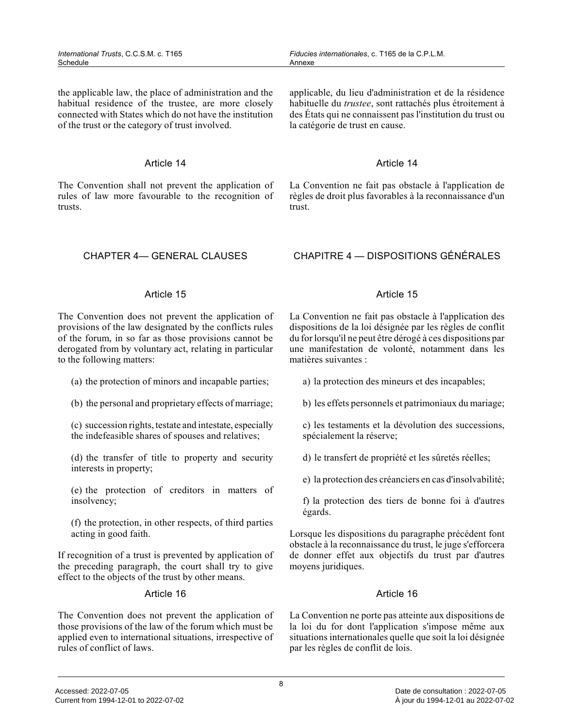the applicable law, the place of administration and the habitual residence of the trustee, are more closely connected with States which do not have the institution of the trust or the category of trust involved.

#### Article 14

The Convention shall not prevent the application of rules of law more favourable to the recognition of trusts.

applicable, du lieu d'administration et de la résidence habituelle du *trustee*, sont rattachés plus étroitement à des États qui ne connaissent pas l'institution du trust ou la catégorie de trust en cause.

#### Article 14

La Convention ne fait pas obstacle à l'application d e règles de droit plus favorables à la reconnaissance d'un trust.

#### CHAPTER 4— GENERAL CLAUSES CHAPITRE 4 — DISPOSITIONS GÉNÉRALES

#### Article 15

The Convention does not prevent the application of provisions of the law designated by the conflicts rules of the forum, in so far as those provisions cannot b e derogated from by voluntary act, relating in particular to the following matters:

- (a) the protection of minors and incapable parties;
- (b) the personal and proprietary effects of marriage ;
- (c) succession rights, testate and intestate, especially the indefeasible shares of spouses and relatives;
- (d) the transfer of title to property and security interests in property;
- (e) the protection of creditors in matters of insolvency;
- (f) the protection, in other respects, of third parties acting in good faith.

If recognition of a trust is prevented by application of the preceding paragraph, the court shall try to give effect to the objects of the trust by other means.

#### Article 16

The Convention does not prevent the application of those provisions of the law of the forum which must be applied even to international situations, irrespective o f rules of conflict of laws.

#### Article 15

La Convention ne fait pas obstacle à l'application des dispositions de la loi désignée par les règles de conflit du for lorsqu'il ne peut être dérogé à ces dispositions par une manifestation de volonté, notamment dans les matières suivantes :

a) la protection des mineurs et des incapables;

b) les effets personnels et patrimoniaux du mariage;

c) les testaments et la dévolution des successions, spécialement la réserve;

d) le transfert de propriété et les sûretés réelles;

e) la protection des créanciers en cas d'insolvabilité;

f) la protection des tiers de bonne foi à d'autres égards.

Lorsque les dispositions du paragraphe précédent font obstacle à la reconnaissance du trust, le juge s'efforcera de donner effet aux objectifs du trust par d'autres moyens juridiques.

#### Article 16

La Convention ne porte pas atteinte aux dispositions de la loi du for dont l'application s'impose même aux situations internationales quelle que soit la loi désignée par les règles de conflit de lois.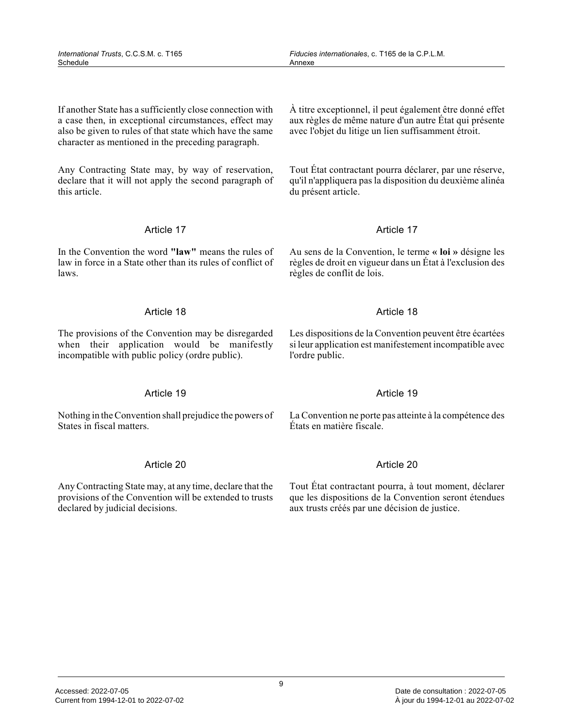9

If another State has a sufficiently close connection with a case then, in exceptional circumstances, effect may also be given to rules of that state which have the same character as mentioned in the preceding paragraph.

Any Contracting State may, by way of reservation, declare that it will not apply the second paragraph of this article.

### Article 17

In the Convention the word **"law"** means the rules of law in force in a State other than its rules of conflict of laws.

### Article 18

The provisions of the Convention may be disregarded when their application would be manifestly incompatible with public policy (ordre public).

### Article 19

Nothing in the Convention shall prejudice the powers of States in fiscal matters.

### Article 20

Any Contracting State may, at any time, declare that the provisions of the Convention will be extended to trusts declared by judicial decisions.

*Fiducies internationales*, c. T165 de la C.P.L.M.

Annexe

À titre exceptionnel, il peut également être donné effet aux règles de même nature d'un autre État qui présente avec l'objet du litige un lien suffisamment étroit.

Tout État contractant pourra déclarer, par une réserve, qu'il n'appliquera pas la disposition du deuxième alinéa du présent article.

### Article 17

Au sens de la Convention, le terme **« loi »** désigne les règles de droit en vigueur dans un État à l'exclusion des règles de conflit de lois.

### Article 18

Les dispositions de la Convention peuvent être écartées si leur application est manifestement incompatible avec l'ordre public.

### Article 19

La Convention ne porte pas atteinte à la compétence des États en matière fiscale.

### Article 20

Tout État contractant pourra, à tout moment, déclarer que les dispositions de la Convention seront étendue s aux trusts créés par une décision de justice.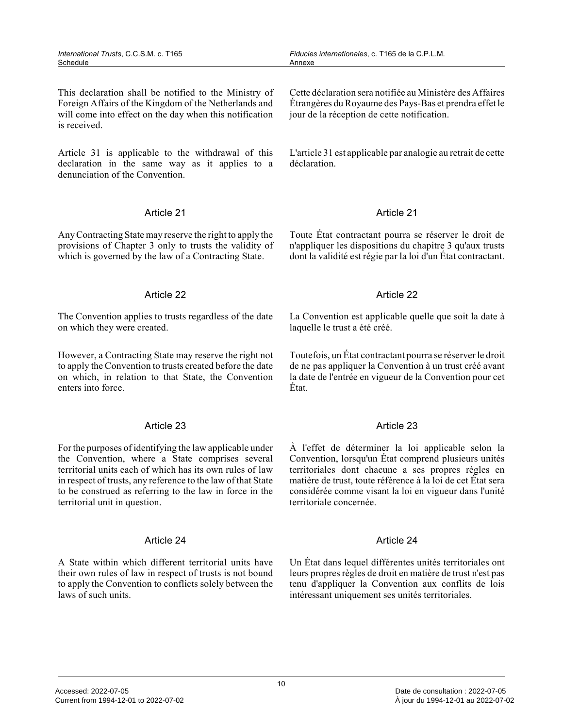This declaration shall be notified to the Ministry of Foreign Affairs of the Kingdom of the Netherlands and will come into effect on the day when this notification is received.

Article 31 is applicable to the withdrawal of this declaration in the same way as it applies to a denunciation of the Convention.

#### Article 21

Any Contracting State may reserve the right to apply the provisions of Chapter 3 only to trusts the validity of which is governed by the law of a Contracting State.

#### Article 22

The Convention applies to trusts regardless of the date on which they were created.

However, a Contracting State may reserve the right no t to apply the Convention to trusts created before the date on which, in relation to that State, the Convention enters into force.

#### Article 23

For the purposes of identifying the law applicable under the Convention, where a State comprises several territorial units each of which has its own rules of law in respect of trusts, any reference to the law of that State to be construed as referring to the law in force in the territorial unit in question.

#### Article 24

A State within which different territorial units have their own rules of law in respect of trusts is not bound to apply the Convention to conflicts solely between the laws of such units.

Cette déclaration sera notifiée au Ministère des Affaires Étrangères du Royaume des Pays-Bas et prendra effet le jour de la réception de cette notification.

L'article 31 est applicable par analogie au retrait de cette déclaration.

#### Article 21

Toute État contractant pourra se réserver le droit d e n'appliquer les dispositions du chapitre 3 qu'aux trusts dont la validité est régie par la loi d'un État contractant.

#### Article 22

La Convention est applicable quelle que soit la date à laquelle le trust a été créé.

Toutefois, un État contractant pourra se réserver le droit de ne pas appliquer la Convention à un trust créé avant la date de l'entrée en vigueur de la Convention pour cet État.

#### Article 23

À l'effet de déterminer la loi applicable selon la Convention, lorsqu'un État comprend plusieurs unités territoriales dont chacune a ses propres règles en matière de trust, toute référence à la loi de cet État sera considérée comme visant la loi en vigueur dans l'unité territoriale concernée.

#### Article 24

Un État dans lequel différentes unités territoriales ont leurs propres règles de droit en matière de trust n'est pas tenu d'appliquer la Convention aux conflits de lois intéressant uniquement ses unités territoriales.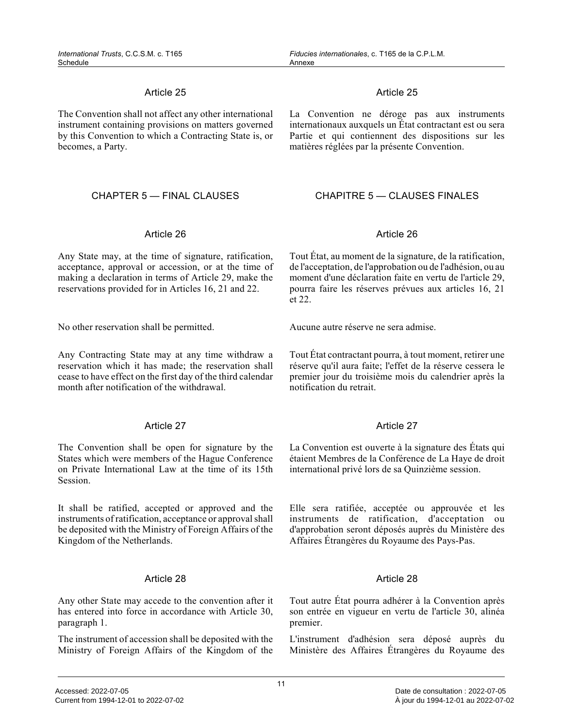#### Article 25

The Convention shall not affect any other international instrument containing provisions on matters governed by this Convention to which a Contracting State is, or becomes, a Party.

#### Article 26

Any State may, at the time of signature, ratification, acceptance, approval or accession, or at the time of making a declaration in terms of Article 29, make the reservations provided for in Articles 16, 21 and 22.

No other reservation shall be permitted. Aucune autre réserve ne sera admise.

Any Contracting State may at any time withdraw a reservation which it has made; the reservation shall cease to have effect on the first day of the third calendar month after notification of the withdrawal.

#### Article 27

The Convention shall be open for signature by the States which were members of the Hague Conference on Private International Law at the time of its 15th Session.

It shall be ratified, accepted or approved and the instruments of ratification, acceptance or approval shall be deposited with the Ministry of Foreign Affairs of the Kingdom of the Netherlands.

#### Article 28

Any other State may accede to the convention after it has entered into force in accordance with Article 30, paragraph 1.

The instrument of accession shall be deposited with the Ministry of Foreign Affairs of the Kingdom of the

#### Article 25

La Convention ne déroge pas aux instruments internationaux auxquels un État contractant est ou sera Partie et qui contiennent des dispositions sur les matières réglées par la présente Convention.

#### CHAPTER 5 — FINAL CLAUSES CHAPITRE 5 — CLAUSES FINALES

#### Article 26

Tout État, au moment de la signature, de la ratification, de l'acceptation, de l'approbation ou de l'adhésion, ou au moment d'une déclaration faite en vertu de l'article 29, pourra faire les réserves prévues aux articles 16, 21 et 22.

Tout État contractant pourra, à tout moment, retirer une réserve qu'il aura faite; l'effet de la réserve cessera le premier jour du troisième mois du calendrier après la notification du retrait.

#### Article 27

La Convention est ouverte à la signature des États qu i étaient Membres de la Conférence de La Haye de droi t international privé lors de sa Quinzième session.

Elle sera ratifiée, acceptée ou approuvée et les instruments de ratification, d'acceptation ou d'approbation seront déposés auprès du Ministère de s Affaires Étrangères du Royaume des Pays-Pas.

#### Article 28

Tout autre État pourra adhérer à la Convention après son entrée en vigueur en vertu de l'article 30, aliné a premier.

L'instrument d'adhésion sera déposé auprès du Ministère des Affaires Étrangères du Royaume des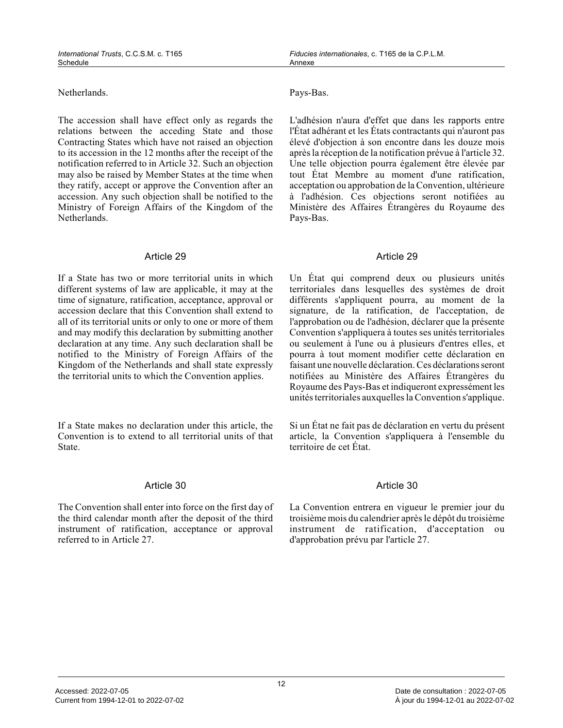Netherlands. Pays-Bas.

The accession shall have effect only as regards the relations between the acceding State and those Contracting States which have not raised an objectio n to its accession in the 12 months after the receipt of the notification referred to in Article 32. Such an objection may also be raised by Member States at the time when they ratify, accept or approve the Convention after a n accession. Any such objection shall be notified to the Ministry of Foreign Affairs of the Kingdom of the Netherlands.

#### Article 29

If a State has two or more territorial units in which different systems of law are applicable, it may at the time of signature, ratification, acceptance, approval or accession declare that this Convention shall extend to all of its territorial units or only to one or more of them and may modify this declaration by submitting another declaration at any time. Any such declaration shall be notified to the Ministry of Foreign Affairs of the Kingdom of the Netherlands and shall state expressl y the territorial units to which the Convention applies.

If a State makes no declaration under this article, the Convention is to extend to all territorial units of that State.

#### Article 30

The Convention shall enter into force on the first day of the third calendar month after the deposit of the third instrument of ratification, acceptance or approval referred to in Article 27.

L'adhésion n'aura d'effet que dans les rapports entre l'État adhérant et les États contractants qui n'auront pas élevé d'objection à son encontre dans les douze mois après la réception de la notification prévue à l'article 32. Une telle objection pourra également être élevée par tout État Membre au moment d'une ratification, acceptation ou approbation de la Convention, ultérieure à l'adhésion. Ces objections seront notifiées au Ministère des Affaires Étrangères du Royaume des Pays-Bas.

#### Article 29

Un État qui comprend deux ou plusieurs unités territoriales dans lesquelles des systèmes de droit différents s'appliquent pourra, au moment de la signature, de la ratification, de l'acceptation, de l'approbation ou de l'adhésion, déclarer que la présente Convention s'appliquera à toutes ses unités territoriales ou seulement à l'une ou à plusieurs d'entres elles, et pourra à tout moment modifier cette déclaration en faisant une nouvelle déclaration. Ces déclarations seront notifiées au Ministère des Affaires Étrangères du Royaume des Pays-Bas et indiqueront expressément le s unités territoriales auxquelles la Convention s'applique.

Si un État ne fait pas de déclaration en vertu du présent article, la Convention s'appliquera à l'ensemble du territoire de cet État.

#### Article 30

La Convention entrera en vigueur le premier jour du troisième mois du calendrier après le dépôt du troisième instrument de ratification, d'acceptation ou d'approbation prévu par l'article 27.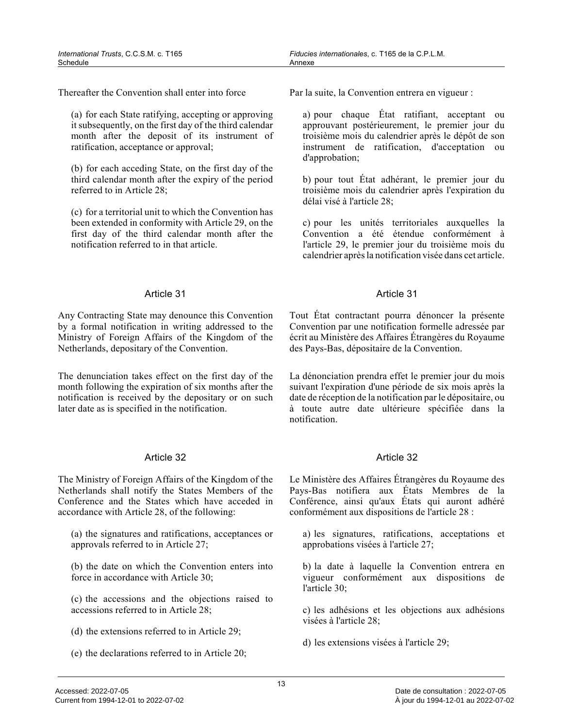Thereafter the Convention shall enter into force

(a) for each State ratifying, accepting or approving it subsequently, on the first day of the third calendar month after the deposit of its instrument of ratification, acceptance or approval;

(b) for each acceding State, on the first day of the third calendar month after the expiry of the period referred to in Article 28;

(c) for a territorial unit to which the Convention ha s been extended in conformity with Article 29, on the first day of the third calendar month after the notification referred to in that article.

#### Article 31

Any Contracting State may denounce this Convention by a formal notification in writing addressed to th e Ministry of Foreign Affairs of the Kingdom of the Netherlands, depositary of the Convention.

The denunciation takes effect on the first day of the month following the expiration of six months after the notification is received by the depositary or on such later date as is specified in the notification.

#### Article 32

The Ministry of Foreign Affairs of the Kingdom of the Netherlands shall notify the States Members of the Conference and the States which have acceded in accordance with Article 28, of the following:

(a) the signatures and ratifications, acceptances or approvals referred to in Article 27;

(b) the date on which the Convention enters into force in accordance with Article 30;

(c) the accessions and the objections raised to accessions referred to in Article 28;

- (d) the extensions referred to in Article 29;
- (e) the declarations referred to in Article 20;

Par la suite, la Convention entrera en vigueur :

a) pour chaque État ratifiant, acceptant ou approuvant postérieurement, le premier jour du troisième mois du calendrier après le dépôt de son instrument de ratification, d'acceptation ou d'approbation;

b) pour tout État adhérant, le premier jour du troisième mois du calendrier après l'expiration du délai visé à l'article 28;

c) pour les unités territoriales auxquelles la Convention a été étendue conformément à l'article 29, le premier jour du troisième mois du calendrier après la notification visée dans cet article.

#### Article 31

Tout État contractant pourra dénoncer la présente Convention par une notification formelle adressée pa r écrit au Ministère des Affaires Étrangères du Royaume des Pays-Bas, dépositaire de la Convention.

La dénonciation prendra effet le premier jour du mois suivant l'expiration d'une période de six mois après la date de réception de la notification par le dépositaire, ou à toute autre date ultérieure spécifiée dans la notification.

#### Article 32

Le Ministère des Affaires Étrangères du Royaume des Pays-Bas notifiera aux États Membres de la Conférence, ainsi qu'aux États qui auront adhéré conformément aux dispositions de l'article 28 :

a) les signatures, ratifications, acceptations et approbations visées à l'article 27;

b) la date à laquelle la Convention entrera en vigueur conformément aux dispositions de l'article 30;

c) les adhésions et les objections aux adhésions visées à l'article 28;

d) les extensions visées à l'article 29;